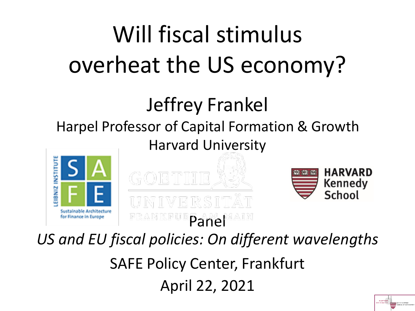# Will fiscal stimulus overheat the US economy?

### Jeffrey Frankel Harpel Professor of Capital Formation & Growth Harvard University





1

Panel *US and EU fiscal policies: On different wavelengths* SAFE Policy Center, Frankfurt April 22, 2021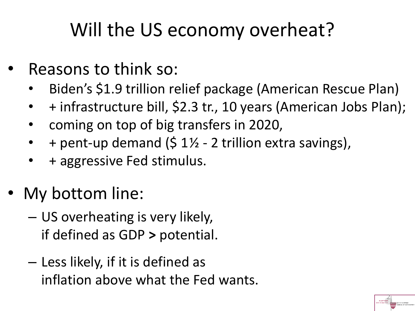# Will the US economy overheat?

- Reasons to think so:
	- Biden's \$1.9 trillion relief package (American Rescue Plan)
	- + infrastructure bill, \$2.3 tr., 10 years (American Jobs Plan);

2

- coming on top of big transfers in 2020,
- + pent-up demand (\$ 1½ 2 trillion extra savings),
- + aggressive Fed stimulus.
- My bottom line:
	- US overheating is very likely, if defined as GDP **>** potential.
	- Less likely, if it is defined as inflation above what the Fed wants.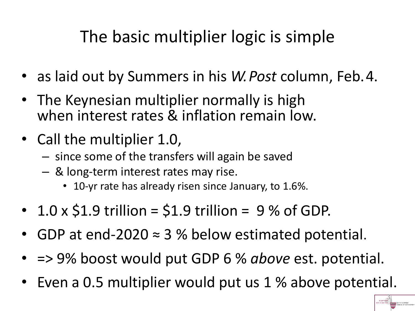## The basic multiplier logic is simple

- as laid out by Summers in his *W.Post* column, Feb.4.
- The Keynesian multiplier normally is high when interest rates & inflation remain low.
- Call the multiplier 1.0,
	- since some of the transfers will again be saved
	- & long-term interest rates may rise.
		- 10-yr rate has already risen since January, to 1.6%.
- $\cdot$  1.0 x \$1.9 trillion = \$1.9 trillion = 9 % of GDP.
- GDP at end-2020  $\approx$  3 % below estimated potential.
- => 9% boost would put GDP 6 % *above* est. potential.
- Even a 0.5 multiplier would put us 1 % above potential.

3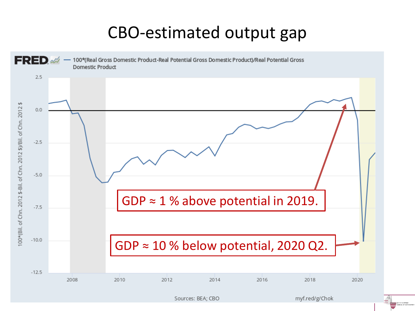#### CBO-estimated output gap

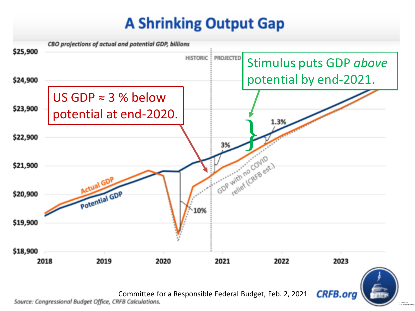#### **A Shrinking Output Gap**

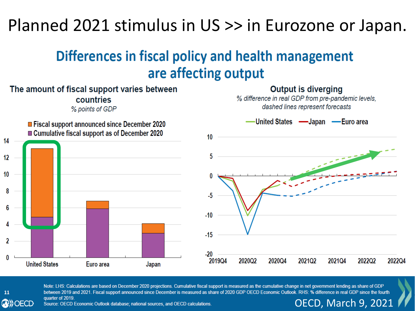#### Planned 2021 stimulus in US >> in Eurozone or Japan.

#### Differences in fiscal policy and health management are affecting output



#### 11 **OBD**) OECD

Note: LHS: Calculations are based on December 2020 projections. Cumulative fiscal support is measured as the cumulative change in net government lending as share of GDP 6 quarter of 2019. OECD, March 9, 2021

Source: OECD Economic Outlook database; national sources, and OECD calculations.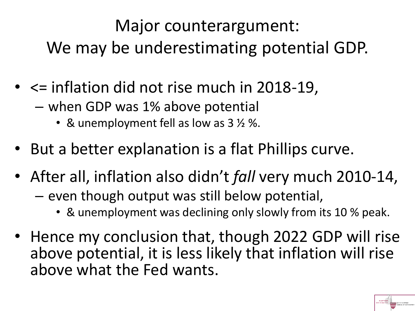Major counterargument: We may be underestimating potential GDP.

- <= inflation did not rise much in 2018-19,
	- when GDP was 1% above potential
		- & unemployment fell as low as 3  $\frac{1}{2}$  %.
- But a better explanation is a flat Phillips curve.
- After all, inflation also didn't *fall* very much 2010-14,
	- even though output was still below potential,
		- & unemployment was declining only slowly from its 10 % peak.
- Hence my conclusion that, though 2022 GDP will rise above potential, it is less likely that inflation will rise above what the Fed wants.

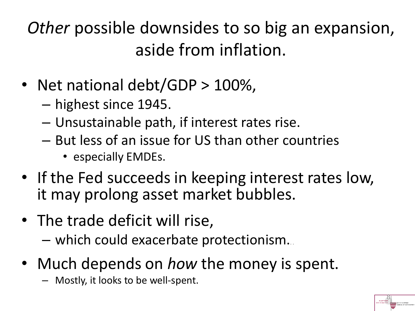*Other* possible downsides to so big an expansion, aside from inflation.

- Net national debt/GDP > 100%,
	- highest since 1945.
	- Unsustainable path, if interest rates rise.
	- But less of an issue for US than other countries
		- especially EMDEs.
- If the Fed succeeds in keeping interest rates low, it may prolong asset market bubbles.

8

- The trade deficit will rise,
	- which could exacerbate protectionism.. .
- Much depends on *how* the money is spent.
	- Mostly, it looks to be well-spent.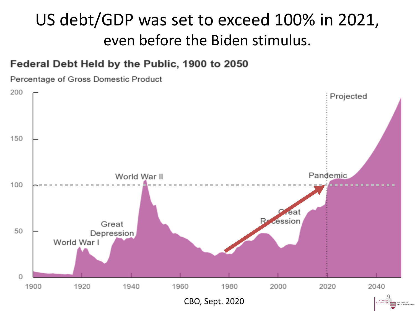#### US debt/GDP was set to exceed 100% in 2021, even before the Biden stimulus.

#### Federal Debt Held by the Public, 1900 to 2050

Percentage of Gross Domestic Product

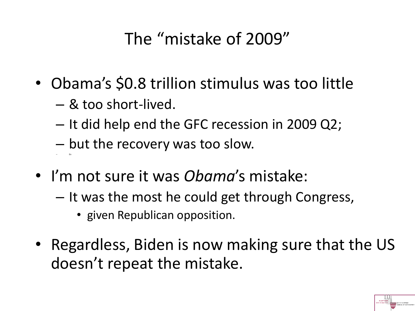## The "mistake of 2009"

- Obama's \$0.8 trillion stimulus was too little
	- & too short-lived.

– En

- It did help end the GFC recession in 2009 Q2;
- but the recovery was too slow.
- I'm not sure it was *Obama*'s mistake:
	- It was the most he could get through Congress,
		- given Republican opposition.
- Regardless, Biden is now making sure that the US doesn't repeat the mistake.

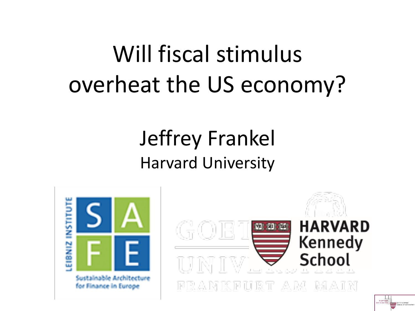# Will fiscal stimulus overheat the US economy?

# Jeffrey Frankel Harvard University





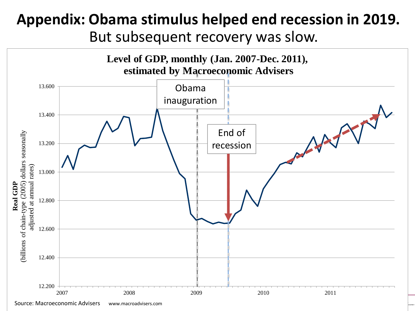#### **Appendix: Obama stimulus helped end recession in 2019.**

But subsequent recovery was slow.

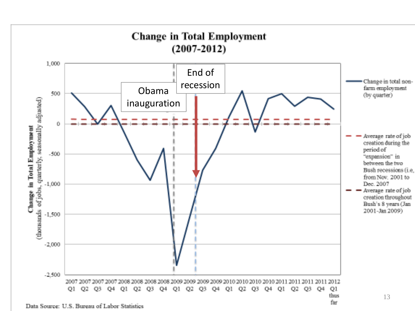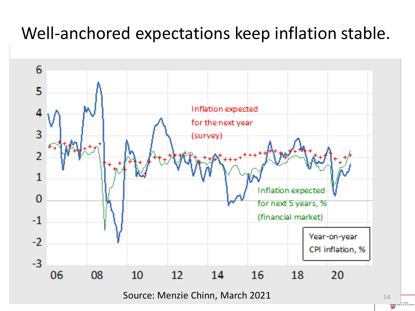### Well-anchored expectations keep inflation stable.



Source: Menzie Chinn, March 2021 14